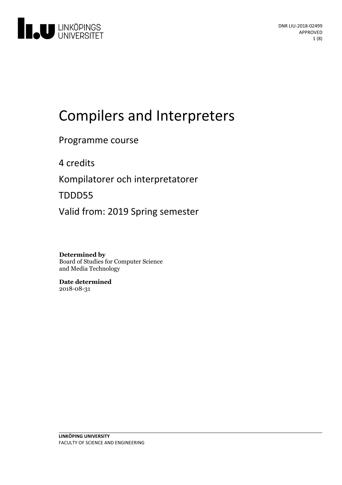

# Compilers and Interpreters

# Programme course

4 credits

Kompilatorer och interpretatorer

TDDD55

Valid from: 2019 Spring semester

# **Determined by**

Board of Studies for Computer Science and Media Technology

**Date determined** 2018-08-31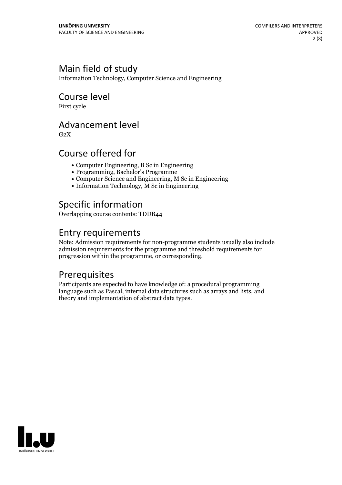# Main field of study

Information Technology, Computer Science and Engineering

### Course level

First cycle

### Advancement level

 $G<sub>2</sub>X$ 

# Course offered for

- Computer Engineering, B Sc in Engineering
- Programming, Bachelor's Programme
- Computer Science and Engineering, M Sc in Engineering
- $\bullet$  Information Technology, M Sc in Engineering

# Specific information

Overlapping course contents: TDDB44

### Entry requirements

Note: Admission requirements for non-programme students usually also include admission requirements for the programme and threshold requirements for progression within the programme, or corresponding.

# Prerequisites

Participants are expected to have knowledge of: a procedural programming language such as Pascal, internal data structures such as arrays and lists, and theory and implementation of abstract data types.

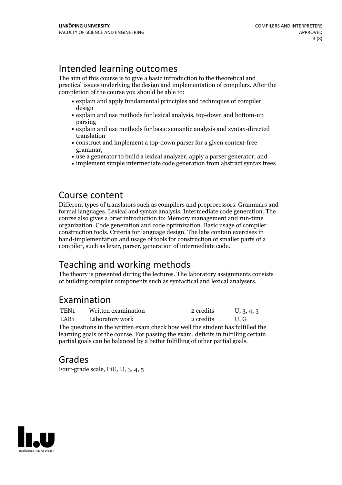# Intended learning outcomes

The aim of this course is to give a basic introduction to the theoretical and practical issues underlying the design and implementation of compilers. After the completion of the course you should be able to:

- explain and apply fundamental principles and techniques of compiler design
- explain and use methods for lexical analysis, top-down and bottom-up parsing
- explain and use methods for basic semantic analysis and syntax-directed translation
- construct and implement a top-down parser for a given context-free
- grammar,<br>• use a generator to build a lexical analyzer, apply a parser generator, and
- implement simple intermediate code generation from abstract syntax trees

### Course content

Different types of translators such as compilers and preprocessors. Grammars and formal languages. Lexical and syntax analysis. Intermediate code generation. The course also gives a brief introduction to: Memory management and run-time organization. Code generation and code optimization. Basic usage of compiler construction tools. Criteria for language design. The labs contain exercises in hand-implementation and usage of tools for construction of smaller parts of a compiler, such as lexer, parser, generation of intermediate code.

# Teaching and working methods

The theory is presented during the lectures. The laboratory assignments consists of building compiler components such as syntactical and lexical analysers.

# Examination

| TEN1                                              | Written examination  | 2 credits | U, 3, 4, 5 |
|---------------------------------------------------|----------------------|-----------|------------|
|                                                   | LAB1 Laboratory work | 2 credits | U.G        |
| והרווימר מיוחד והור וברווי היה והיו להיו היה והיה |                      |           |            |

The questions in the written exam check how well the student has fulfilled the learning goals of the course. For passing the exam, deficits in fulfilling certain partial goals can be balanced by a better fulfilling of other partial goals.

# Grades

Four-grade scale, LiU, U, 3, 4, 5

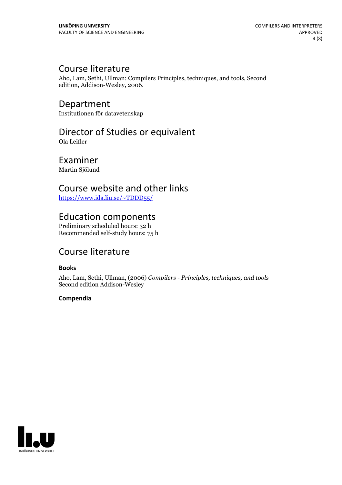# Course literature

Aho, Lam, Sethi, Ullman: Compilers Principles, techniques, and tools, Second edition, Addison-Wesley, 2006.

Department Institutionen för datavetenskap

# Director of Studies or equivalent

Ola Leifler

# Examiner

Martin Sjölund

# Course website and other links

<https://www.ida.liu.se/~TDDD55/>

### Education components

Preliminary scheduled hours: 32 h Recommended self-study hours: 75 h

# Course literature

#### **Books**

Aho, Lam, Sethi, Ullman, (2006) *Compilers - Principles, techniques, and tools* Second edition Addison-Wesley

#### **Compendia**

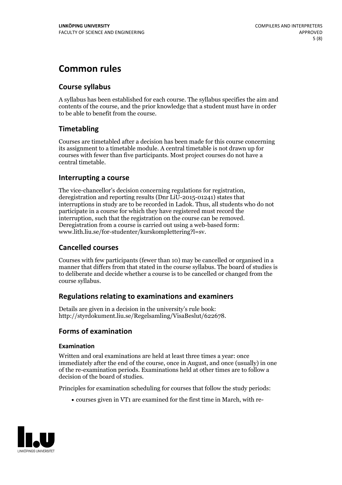# **Common rules**

#### **Course syllabus**

A syllabus has been established for each course. The syllabus specifies the aim and contents of the course, and the prior knowledge that a student must have in order to be able to benefit from the course.

#### **Timetabling**

Courses are timetabled after a decision has been made for this course concerning its assignment to a timetable module. A central timetable is not drawn up for courses with fewer than five participants. Most project courses do not have a central timetable.

#### **Interrupting a course**

The vice-chancellor's decision concerning regulations for registration, deregistration and reporting results (Dnr LiU-2015-01241) states that interruptions in study are to be recorded in Ladok. Thus, all students who do not participate in a course for which they have registered must record the interruption, such that the registration on the course can be removed. Deregistration from <sup>a</sup> course is carried outusing <sup>a</sup> web-based form: www.lith.liu.se/for-studenter/kurskomplettering?l=sv.

#### **Cancelled courses**

Courses with few participants (fewer than 10) may be cancelled or organised in a manner that differs from that stated in the course syllabus. The board of studies is to deliberate and decide whether a course is to be cancelled orchanged from the course syllabus.

#### **Regulations relatingto examinations and examiners**

Details are given in a decision in the university's rule book: http://styrdokument.liu.se/Regelsamling/VisaBeslut/622678.

#### **Forms of examination**

#### **Examination**

Written and oral examinations are held at least three times a year: once immediately after the end of the course, once in August, and once (usually) in one of the re-examination periods. Examinations held at other times are to follow a decision of the board of studies.

Principles for examination scheduling for courses that follow the study periods:

courses given in VT1 are examined for the first time in March, with re-

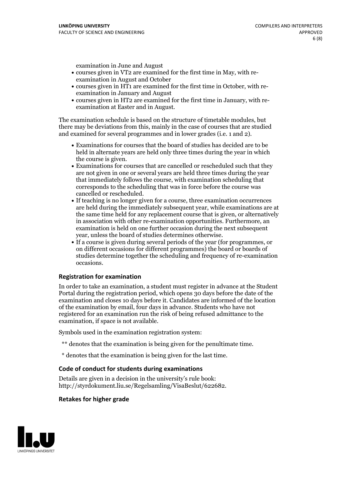examination in June and August

- courses given in VT2 are examined for the first time in May, with re-examination in August and October
- courses given in HT1 are examined for the first time in October, with re-examination in January and August
- courses given in HT2 are examined for the first time in January, with re-examination at Easter and in August.

The examination schedule is based on the structure of timetable modules, but there may be deviations from this, mainly in the case of courses that are studied and examined for several programmes and in lower grades (i.e. 1 and 2).

- Examinations for courses that the board of studies has decided are to be held in alternate years are held only three times during the year in which
- the course is given.<br>• Examinations for courses that are cancelled or rescheduled such that they are not given in one or several years are held three times during the year that immediately follows the course, with examination scheduling that corresponds to the scheduling that was in force before the course was cancelled or rescheduled.<br>• If teaching is no longer given for a course, three examination occurrences
- are held during the immediately subsequent year, while examinations are at the same time held for any replacement course that is given, or alternatively in association with other re-examination opportunities. Furthermore, an examination is held on one further occasion during the next subsequent year, unless the board of studies determines otherwise.<br>• If a course is given during several periods of the year (for programmes, or
- on different occasions for different programmes) the board orboards of studies determine together the scheduling and frequency of re-examination occasions.

#### **Registration for examination**

In order to take an examination, a student must register in advance at the Student Portal during the registration period, which opens 30 days before the date of the examination and closes 10 days before it. Candidates are informed of the location of the examination by email, four days in advance. Students who have not registered for an examination run the risk of being refused admittance to the examination, if space is not available.

Symbols used in the examination registration system:

- \*\* denotes that the examination is being given for the penultimate time.
- \* denotes that the examination is being given for the last time.

#### **Code of conduct for students during examinations**

Details are given in a decision in the university's rule book: http://styrdokument.liu.se/Regelsamling/VisaBeslut/622682.

#### **Retakes for higher grade**

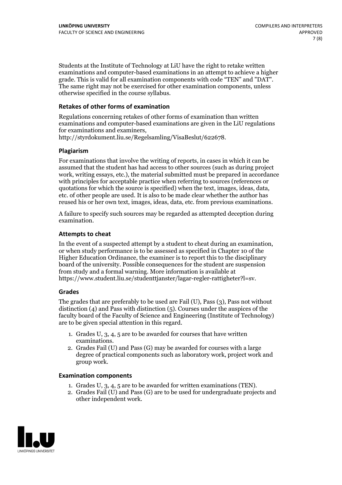Students at the Institute of Technology at LiU have the right to retake written examinations and computer-based examinations in an attempt to achieve a higher grade. This is valid for all examination components with code "TEN" and "DAT". The same right may not be exercised for other examination components, unless otherwise specified in the course syllabus.

#### **Retakes of other forms of examination**

Regulations concerning retakes of other forms of examination than written examinations and computer-based examinations are given in the LiU regulations for examinations and examiners, http://styrdokument.liu.se/Regelsamling/VisaBeslut/622678.

#### **Plagiarism**

For examinations that involve the writing of reports, in cases in which it can be assumed that the student has had access to other sources (such as during project work, writing essays, etc.), the material submitted must be prepared in accordance with principles for acceptable practice when referring to sources (references or quotations for which the source is specified) when the text, images, ideas, data, etc. of other people are used. It is also to be made clear whether the author has reused his or her own text, images, ideas, data, etc. from previous examinations.

A failure to specify such sources may be regarded as attempted deception during examination.

#### **Attempts to cheat**

In the event of <sup>a</sup> suspected attempt by <sup>a</sup> student to cheat during an examination, or when study performance is to be assessed as specified in Chapter <sup>10</sup> of the Higher Education Ordinance, the examiner is to report this to the disciplinary board of the university. Possible consequences for the student are suspension from study and a formal warning. More information is available at https://www.student.liu.se/studenttjanster/lagar-regler-rattigheter?l=sv.

#### **Grades**

The grades that are preferably to be used are Fail (U), Pass (3), Pass not without distinction  $(4)$  and Pass with distinction  $(5)$ . Courses under the auspices of the faculty board of the Faculty of Science and Engineering (Institute of Technology) are to be given special attention in this regard.

- 1. Grades U, 3, 4, 5 are to be awarded for courses that have written
- examinations. 2. Grades Fail (U) and Pass (G) may be awarded for courses with <sup>a</sup> large degree of practical components such as laboratory work, project work and group work.

#### **Examination components**

- 
- 1. Grades U, 3, 4, <sup>5</sup> are to be awarded for written examinations (TEN). 2. Grades Fail (U) and Pass (G) are to be used for undergraduate projects and other independent work.